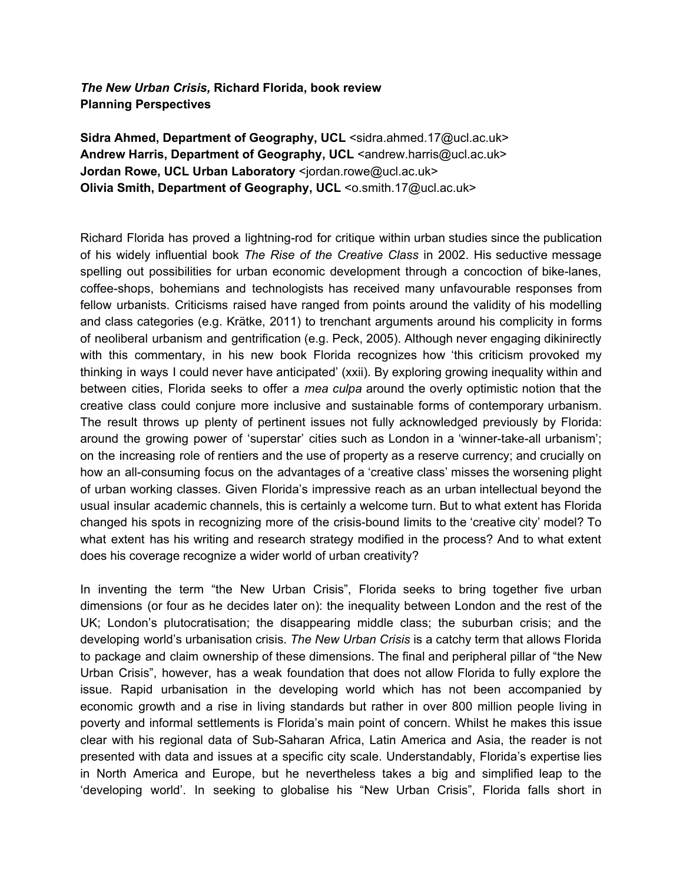*The New Urban Crisis,* **Richard Florida, book review Planning Perspectives**

**Sidra Ahmed, Department of Geography, UCL** <sidra.ahmed.17@ucl.ac.uk> **Andrew Harris, Department of Geography, UCL** <andrew.harris@ucl.ac.uk> **Jordan Rowe, UCL Urban Laboratory** <jordan.rowe@ucl.ac.uk> **Olivia Smith, Department of Geography, UCL** <o.smith.17@ucl.ac.uk>

Richard Florida has proved a lightning-rod for critique within urban studies since the publication of his widely influential book *The Rise of the Creative Class* in 2002. His seductive message spelling out possibilities for urban economic development through a concoction of bike-lanes, coffee-shops, bohemians and technologists has received many unfavourable responses from fellow urbanists. Criticisms raised have ranged from points around the validity of his modelling and class categories (e.g. Krätke, 2011) to trenchant arguments around his complicity in forms of neoliberal urbanism and gentrification (e.g. Peck, 2005). Although never engaging dikinirectly with this commentary, in his new book Florida recognizes how 'this criticism provoked my thinking in ways I could never have anticipated' (xxii). By exploring growing inequality within and between cities, Florida seeks to offer a *mea culpa* around the overly optimistic notion that the creative class could conjure more inclusive and sustainable forms of contemporary urbanism. The result throws up plenty of pertinent issues not fully acknowledged previously by Florida: around the growing power of 'superstar' cities such as London in a 'winner-take-all urbanism'; on the increasing role of rentiers and the use of property as a reserve currency; and crucially on how an all-consuming focus on the advantages of a 'creative class' misses the worsening plight of urban working classes. Given Florida's impressive reach as an urban intellectual beyond the usual insular academic channels, this is certainly a welcome turn. But to what extent has Florida changed his spots in recognizing more of the crisis-bound limits to the 'creative city' model? To what extent has his writing and research strategy modified in the process? And to what extent does his coverage recognize a wider world of urban creativity?

In inventing the term "the New Urban Crisis", Florida seeks to bring together five urban dimensions (or four as he decides later on): the inequality between London and the rest of the UK; London's plutocratisation; the disappearing middle class; the suburban crisis; and the developing world's urbanisation crisis. *The New Urban Crisis* is a catchy term that allows Florida to package and claim ownership of these dimensions. The final and peripheral pillar of "the New Urban Crisis", however, has a weak foundation that does not allow Florida to fully explore the issue. Rapid urbanisation in the developing world which has not been accompanied by economic growth and a rise in living standards but rather in over 800 million people living in poverty and informal settlements is Florida's main point of concern. Whilst he makes this issue clear with his regional data of Sub-Saharan Africa, Latin America and Asia, the reader is not presented with data and issues at a specific city scale. Understandably, Florida's expertise lies in North America and Europe, but he nevertheless takes a big and simplified leap to the 'developing world'. In seeking to globalise his "New Urban Crisis", Florida falls short in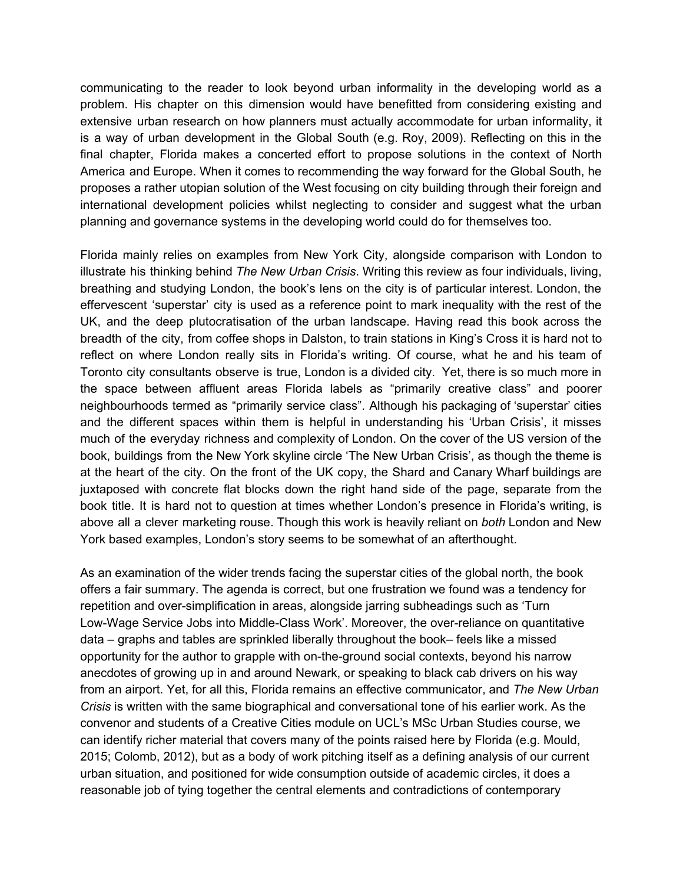communicating to the reader to look beyond urban informality in the developing world as a problem. His chapter on this dimension would have benefitted from considering existing and extensive urban research on how planners must actually accommodate for urban informality, it is a way of urban development in the Global South (e.g. Roy, 2009). Reflecting on this in the final chapter, Florida makes a concerted effort to propose solutions in the context of North America and Europe. When it comes to recommending the way forward for the Global South, he proposes a rather utopian solution of the West focusing on city building through their foreign and international development policies whilst neglecting to consider and suggest what the urban planning and governance systems in the developing world could do for themselves too.

Florida mainly relies on examples from New York City, alongside comparison with London to illustrate his thinking behind *The New Urban Crisis*. Writing this review as four individuals, living, breathing and studying London, the book's lens on the city is of particular interest. London, the effervescent 'superstar' city is used as a reference point to mark inequality with the rest of the UK, and the deep plutocratisation of the urban landscape. Having read this book across the breadth of the city, from coffee shops in Dalston, to train stations in King's Cross it is hard not to reflect on where London really sits in Florida's writing. Of course, what he and his team of Toronto city consultants observe is true, London is a divided city. Yet, there is so much more in the space between affluent areas Florida labels as "primarily creative class" and poorer neighbourhoods termed as "primarily service class". Although his packaging of 'superstar' cities and the different spaces within them is helpful in understanding his 'Urban Crisis', it misses much of the everyday richness and complexity of London. On the cover of the US version of the book, buildings from the New York skyline circle 'The New Urban Crisis', as though the theme is at the heart of the city. On the front of the UK copy, the Shard and Canary Wharf buildings are juxtaposed with concrete flat blocks down the right hand side of the page, separate from the book title. It is hard not to question at times whether London's presence in Florida's writing, is above all a clever marketing rouse. Though this work is heavily reliant on *both* London and New York based examples, London's story seems to be somewhat of an afterthought.

As an examination of the wider trends facing the superstar cities of the global north, the book offers a fair summary. The agenda is correct, but one frustration we found was a tendency for repetition and over-simplification in areas, alongside jarring subheadings such as 'Turn Low-Wage Service Jobs into Middle-Class Work'. Moreover, the over-reliance on quantitative data – graphs and tables are sprinkled liberally throughout the book– feels like a missed opportunity for the author to grapple with on-the-ground social contexts, beyond his narrow anecdotes of growing up in and around Newark, or speaking to black cab drivers on his way from an airport. Yet, for all this, Florida remains an effective communicator, and *The New Urban Crisis* is written with the same biographical and conversational tone of his earlier work. As the convenor and students of a Creative Cities module on UCL's MSc Urban Studies course, we can identify richer material that covers many of the points raised here by Florida (e.g. Mould, 2015; Colomb, 2012), but as a body of work pitching itself as a defining analysis of our current urban situation, and positioned for wide consumption outside of academic circles, it does a reasonable job of tying together the central elements and contradictions of contemporary